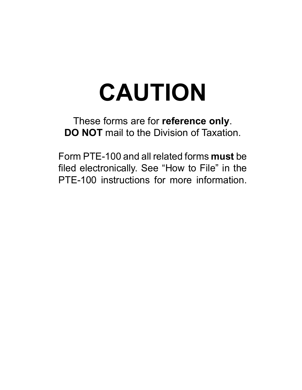# **CAUTION**

These forms are for **reference only**. **DO NOT** mail to the Division of Taxation.

Form PTE-100 and all related forms **must** be filed electronically. See "How to File" in the PTE-100 instructions for more information.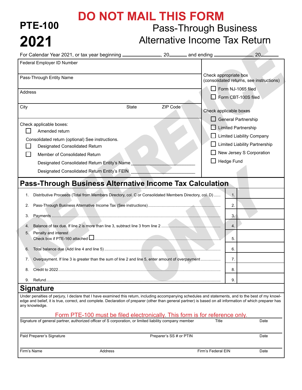### Pass-Through Business **DO NOT MAIL THIS FORM**

**PTE-100**

**2021**

## Alternative Income Tax Return

|             | For Calendar Year 2021, or tax year beginning ________________, 20_______ and ending ___________                                                                                                                                                                                                                                      |                         |                    |                                                                   |
|-------------|---------------------------------------------------------------------------------------------------------------------------------------------------------------------------------------------------------------------------------------------------------------------------------------------------------------------------------------|-------------------------|--------------------|-------------------------------------------------------------------|
|             | Federal Employer ID Number                                                                                                                                                                                                                                                                                                            |                         |                    |                                                                   |
|             | Pass-Through Entity Name                                                                                                                                                                                                                                                                                                              |                         |                    | Check appropriate box<br>(consolidated returns, see instructions) |
| Address     |                                                                                                                                                                                                                                                                                                                                       |                         |                    | Form NJ-1065 filed                                                |
|             |                                                                                                                                                                                                                                                                                                                                       |                         |                    | Form CBT-100S filed                                               |
| City        | State                                                                                                                                                                                                                                                                                                                                 | ZIP Code                |                    | Check applicable boxes                                            |
|             |                                                                                                                                                                                                                                                                                                                                       |                         |                    | $\Box$ General Partnership                                        |
|             | Check applicable boxes:<br>Amended return                                                                                                                                                                                                                                                                                             |                         |                    | $\Box$ Limited Partnership                                        |
|             |                                                                                                                                                                                                                                                                                                                                       |                         |                    | □ Limited Liability Company                                       |
|             | Consolidated return (optional) See instructions.<br>Designated Consolidated Return                                                                                                                                                                                                                                                    |                         |                    | Limited Liability Partnership                                     |
|             | Member of Consolidated Return                                                                                                                                                                                                                                                                                                         |                         |                    | New Jersey S Corporation                                          |
|             | Designated Consolidated Return Entity's Name                                                                                                                                                                                                                                                                                          |                         |                    | $\Box$ Hedge Fund                                                 |
|             | Designated Consolidated Return Entity's FEIN                                                                                                                                                                                                                                                                                          |                         |                    |                                                                   |
|             |                                                                                                                                                                                                                                                                                                                                       |                         |                    |                                                                   |
|             | <b>Pass-Through Business Alternative Income Tax Calculation</b>                                                                                                                                                                                                                                                                       |                         |                    |                                                                   |
| 1.          | Distributive Proceeds (Total from Members Directory, col. C or Consolidated Members Directory, col. D)                                                                                                                                                                                                                                |                         |                    | $\overline{1}$ .                                                  |
| 2.          |                                                                                                                                                                                                                                                                                                                                       |                         |                    | 2.                                                                |
| 3.          |                                                                                                                                                                                                                                                                                                                                       |                         |                    | 3.                                                                |
| 4.          |                                                                                                                                                                                                                                                                                                                                       |                         |                    | 4.                                                                |
| 5.          | Penalty and interest                                                                                                                                                                                                                                                                                                                  |                         |                    |                                                                   |
|             | Check box if PTE-160 attached <u>Law manual community and contract and contract and contract and contract and</u>                                                                                                                                                                                                                     |                         |                    | 5.                                                                |
| 6.          |                                                                                                                                                                                                                                                                                                                                       |                         |                    | 6.                                                                |
| 7.          | Overpayment. If line 3 is greater than the sum of line 2 and line 5, enter amount of overpayment                                                                                                                                                                                                                                      |                         |                    | 7.                                                                |
| 8.          |                                                                                                                                                                                                                                                                                                                                       |                         |                    | 8.                                                                |
| 9.          | Refund                                                                                                                                                                                                                                                                                                                                |                         |                    | 9.                                                                |
|             | <b>Signature</b>                                                                                                                                                                                                                                                                                                                      |                         |                    |                                                                   |
|             | Under penalties of perjury, I declare that I have examined this return, including accompanying schedules and statements, and to the best of my knowl-<br>edge and belief, it is true, correct, and complete. Declaration of preparer (other than general partner) is based on all information of which preparer has<br>any knowledge. |                         |                    |                                                                   |
|             | Form PTE-100 must be filed electronically. This form is for reference only.<br>Signature of general partner, authorized officer of S corporation, or limited liability company member                                                                                                                                                 |                         | Title              | Date                                                              |
|             |                                                                                                                                                                                                                                                                                                                                       |                         |                    |                                                                   |
|             | Paid Preparer's Signature                                                                                                                                                                                                                                                                                                             | Preparer's SS # or PTIN |                    | Date                                                              |
| Firm's Name | Address                                                                                                                                                                                                                                                                                                                               |                         | Firm's Federal EIN | Date                                                              |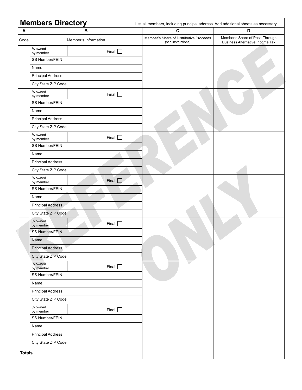|                           | <b>Members Directory</b> |                         |              | List all members, including principal address. Add additional sheets as necessary. |                                                                          |  |
|---------------------------|--------------------------|-------------------------|--------------|------------------------------------------------------------------------------------|--------------------------------------------------------------------------|--|
| $\boldsymbol{\mathsf{A}}$ |                          | $\overline{\mathbf{B}}$ |              | $\mathbf{C}$                                                                       | D                                                                        |  |
| Code                      | Member's Information     |                         |              | Member's Share of Distributive Proceeds<br>(see instructions)                      | Member's Share of Pass-Through<br><b>Business Alternative Income Tax</b> |  |
|                           | % owned<br>by member     |                         | Final $\Box$ |                                                                                    |                                                                          |  |
|                           | SS Number/FEIN           |                         |              |                                                                                    |                                                                          |  |
|                           | Name                     |                         |              |                                                                                    |                                                                          |  |
|                           | <b>Principal Address</b> |                         |              |                                                                                    |                                                                          |  |
|                           | City State ZIP Code      |                         |              |                                                                                    |                                                                          |  |
|                           | % owned<br>by member     |                         | Final $\Box$ |                                                                                    |                                                                          |  |
|                           | SS Number/FEIN           |                         |              |                                                                                    |                                                                          |  |
|                           | Name                     |                         |              |                                                                                    |                                                                          |  |
|                           | <b>Principal Address</b> |                         |              |                                                                                    |                                                                          |  |
|                           | City State ZIP Code      |                         |              |                                                                                    |                                                                          |  |
|                           | % owned<br>by member     |                         | Final $\Box$ |                                                                                    |                                                                          |  |
|                           | SS Number/FEIN           |                         |              |                                                                                    |                                                                          |  |
|                           | Name                     |                         |              |                                                                                    |                                                                          |  |
|                           | <b>Principal Address</b> |                         |              |                                                                                    |                                                                          |  |
|                           | City State ZIP Code      |                         |              |                                                                                    |                                                                          |  |
|                           | % owned<br>by member     |                         | Final $\Box$ |                                                                                    |                                                                          |  |
|                           | SS Number/FEIN           |                         |              |                                                                                    |                                                                          |  |
|                           | Name                     |                         |              |                                                                                    |                                                                          |  |
|                           | <b>Principal Address</b> |                         |              |                                                                                    |                                                                          |  |
|                           | City State ZIP Code      |                         |              |                                                                                    |                                                                          |  |
|                           | % owned<br>by member     |                         | Final $\Box$ |                                                                                    |                                                                          |  |
|                           | SS Number/FEIN           |                         |              |                                                                                    |                                                                          |  |
|                           | Name                     |                         |              |                                                                                    | v                                                                        |  |
|                           | <b>Principal Address</b> |                         |              |                                                                                    |                                                                          |  |
|                           | City State ZIP Code      |                         |              |                                                                                    |                                                                          |  |
|                           | % owned<br>by member     |                         | Final $\Box$ |                                                                                    |                                                                          |  |
|                           | SS Number/FEIN           |                         |              |                                                                                    |                                                                          |  |
|                           | Name                     |                         |              |                                                                                    |                                                                          |  |
|                           | <b>Principal Address</b> |                         |              |                                                                                    |                                                                          |  |
|                           | City State ZIP Code      |                         |              |                                                                                    |                                                                          |  |
|                           | % owned<br>by member     |                         | Final $\Box$ |                                                                                    |                                                                          |  |
|                           | SS Number/FEIN           |                         |              |                                                                                    |                                                                          |  |
|                           | Name                     |                         |              |                                                                                    |                                                                          |  |
|                           | <b>Principal Address</b> |                         |              |                                                                                    |                                                                          |  |
|                           | City State ZIP Code      |                         |              |                                                                                    |                                                                          |  |
| <b>Totals</b>             |                          |                         |              |                                                                                    |                                                                          |  |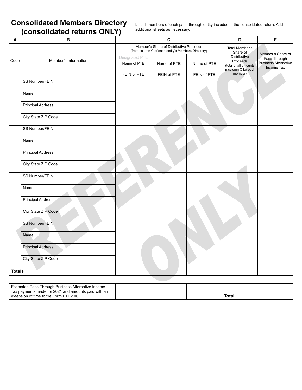|               | <b>Consolidated Members Directory</b><br>(consolidated returns ONLY) |                                              | additional sheets as necessary.                                                               | List all members of each pass-through entity included in the consolidated return. Add |                                                                                             |                                                           |
|---------------|----------------------------------------------------------------------|----------------------------------------------|-----------------------------------------------------------------------------------------------|---------------------------------------------------------------------------------------|---------------------------------------------------------------------------------------------|-----------------------------------------------------------|
| A             | в                                                                    | $\mathbf c$                                  |                                                                                               |                                                                                       | D                                                                                           | E                                                         |
|               |                                                                      |                                              | Member's Share of Distributive Proceeds<br>(from column C of each entity's Members Directory) | Total Member's<br>Share of                                                            | Member's Share of                                                                           |                                                           |
| Code          | Member's Information                                                 | Designated PTE<br>Name of PTE<br>FEIN of PTE | Name of PTE<br>FEIN of PTE                                                                    | Name of PTE<br>FEIN of PTE                                                            | <b>Distributive</b><br>Proceeds<br>(total of all amounts<br>in column C for each<br>member) | Pass-Through<br><b>Business Alternative</b><br>Income Tax |
|               | SS Number/FEIN                                                       |                                              |                                                                                               |                                                                                       |                                                                                             |                                                           |
|               | Name                                                                 |                                              |                                                                                               |                                                                                       |                                                                                             |                                                           |
|               | <b>Principal Address</b>                                             |                                              |                                                                                               |                                                                                       |                                                                                             |                                                           |
|               | City State ZIP Code                                                  |                                              |                                                                                               |                                                                                       |                                                                                             |                                                           |
|               | SS Number/FEIN                                                       |                                              |                                                                                               |                                                                                       |                                                                                             |                                                           |
|               | Name                                                                 |                                              |                                                                                               |                                                                                       |                                                                                             |                                                           |
|               | <b>Principal Address</b>                                             |                                              |                                                                                               |                                                                                       |                                                                                             |                                                           |
|               | City State ZIP Code                                                  |                                              |                                                                                               |                                                                                       |                                                                                             |                                                           |
|               | SS Number/FEIN                                                       |                                              |                                                                                               |                                                                                       |                                                                                             |                                                           |
|               | Name                                                                 |                                              |                                                                                               |                                                                                       |                                                                                             |                                                           |
|               | Principal Address                                                    |                                              |                                                                                               |                                                                                       |                                                                                             |                                                           |
|               | City State ZIP Code                                                  |                                              |                                                                                               |                                                                                       |                                                                                             |                                                           |
|               | <b>SS Number/FEIN</b>                                                |                                              |                                                                                               |                                                                                       |                                                                                             |                                                           |
|               | Name                                                                 |                                              |                                                                                               |                                                                                       |                                                                                             |                                                           |
|               | <b>Principal Address</b>                                             |                                              |                                                                                               |                                                                                       |                                                                                             |                                                           |
|               | City State ZIP Code                                                  |                                              |                                                                                               |                                                                                       |                                                                                             |                                                           |
| <b>Totals</b> |                                                                      |                                              |                                                                                               |                                                                                       |                                                                                             |                                                           |

| ' Estimated Pass-Through Business Alternative Income |  |      |
|------------------------------------------------------|--|------|
| Tax payments made for 2021 and amounts paid with an  |  |      |
| I extension of time to file Form PTE-100.            |  | Tota |